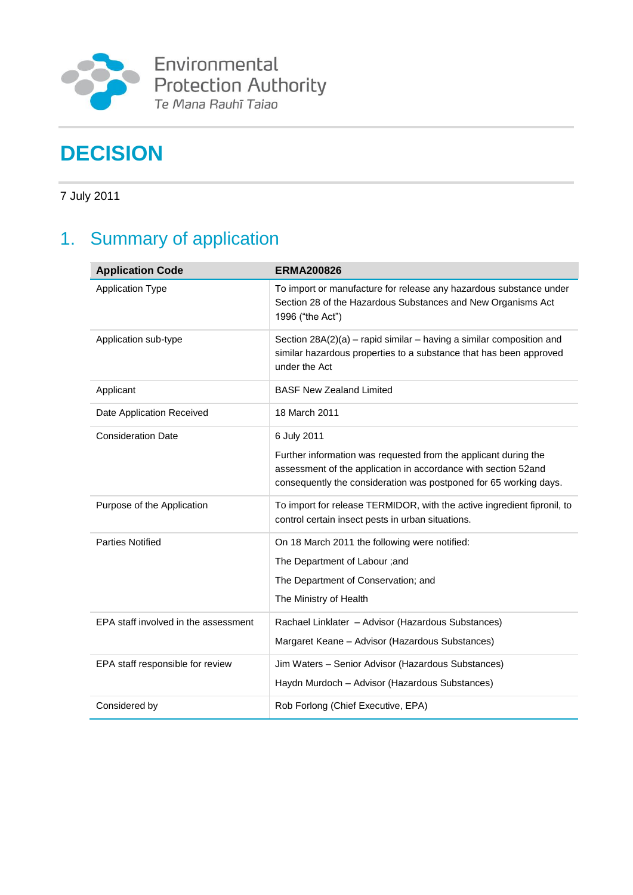

Environmental Protection Authority<br>Te Mana Rauhī Taiao

# **DECISION**

7 July 2011

# 1. Summary of application

| <b>Application Code</b>              | <b>ERMA200826</b>                                                                                                                                                                                      |
|--------------------------------------|--------------------------------------------------------------------------------------------------------------------------------------------------------------------------------------------------------|
| <b>Application Type</b>              | To import or manufacture for release any hazardous substance under<br>Section 28 of the Hazardous Substances and New Organisms Act<br>1996 ("the Act")                                                 |
| Application sub-type                 | Section 28A(2)(a) – rapid similar – having a similar composition and<br>similar hazardous properties to a substance that has been approved<br>under the Act                                            |
| Applicant                            | <b>BASF New Zealand Limited</b>                                                                                                                                                                        |
| Date Application Received            | 18 March 2011                                                                                                                                                                                          |
| <b>Consideration Date</b>            | 6 July 2011                                                                                                                                                                                            |
|                                      | Further information was requested from the applicant during the<br>assessment of the application in accordance with section 52and<br>consequently the consideration was postponed for 65 working days. |
| Purpose of the Application           | To import for release TERMIDOR, with the active ingredient fipronil, to<br>control certain insect pests in urban situations.                                                                           |
| <b>Parties Notified</b>              | On 18 March 2011 the following were notified:                                                                                                                                                          |
|                                      | The Department of Labour ;and                                                                                                                                                                          |
|                                      | The Department of Conservation; and                                                                                                                                                                    |
|                                      | The Ministry of Health                                                                                                                                                                                 |
| EPA staff involved in the assessment | Rachael Linklater - Advisor (Hazardous Substances)                                                                                                                                                     |
|                                      | Margaret Keane - Advisor (Hazardous Substances)                                                                                                                                                        |
| EPA staff responsible for review     | Jim Waters - Senior Advisor (Hazardous Substances)                                                                                                                                                     |
|                                      | Haydn Murdoch - Advisor (Hazardous Substances)                                                                                                                                                         |
| Considered by                        | Rob Forlong (Chief Executive, EPA)                                                                                                                                                                     |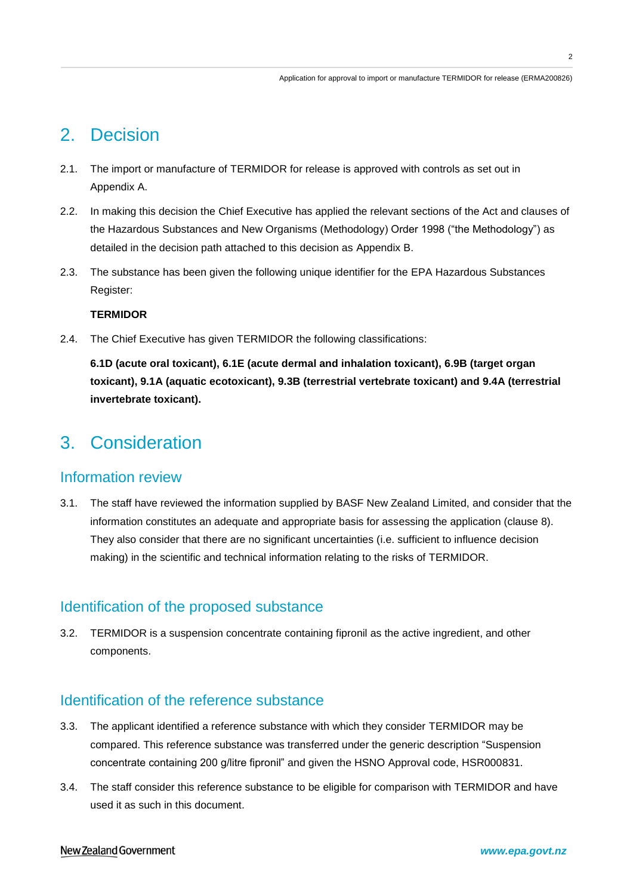$\overline{2}$ 

## 2. Decision

- 2.1. The import or manufacture of TERMIDOR for release is approved with controls as set out in Appendix A.
- 2.2. In making this decision the Chief Executive has applied the relevant sections of the Act and clauses of the Hazardous Substances and New Organisms (Methodology) Order 1998 ("the Methodology") as detailed in the decision path attached to this decision as Appendix B.
- 2.3. The substance has been given the following unique identifier for the EPA Hazardous Substances Register:

#### **TERMIDOR**

2.4. The Chief Executive has given TERMIDOR the following classifications:

**6.1D (acute oral toxicant), 6.1E (acute dermal and inhalation toxicant), 6.9B (target organ toxicant), 9.1A (aquatic ecotoxicant), 9.3B (terrestrial vertebrate toxicant) and 9.4A (terrestrial invertebrate toxicant).** 

## 3. Consideration

## Information review

3.1. The staff have reviewed the information supplied by BASF New Zealand Limited, and consider that the information constitutes an adequate and appropriate basis for assessing the application (clause 8). They also consider that there are no significant uncertainties (i.e. sufficient to influence decision making) in the scientific and technical information relating to the risks of TERMIDOR.

## Identification of the proposed substance

3.2. TERMIDOR is a suspension concentrate containing fipronil as the active ingredient, and other components.

## Identification of the reference substance

- 3.3. The applicant identified a reference substance with which they consider TERMIDOR may be compared. This reference substance was transferred under the generic description "Suspension concentrate containing 200 g/litre fipronil" and given the HSNO Approval code, HSR000831.
- 3.4. The staff consider this reference substance to be eligible for comparison with TERMIDOR and have used it as such in this document.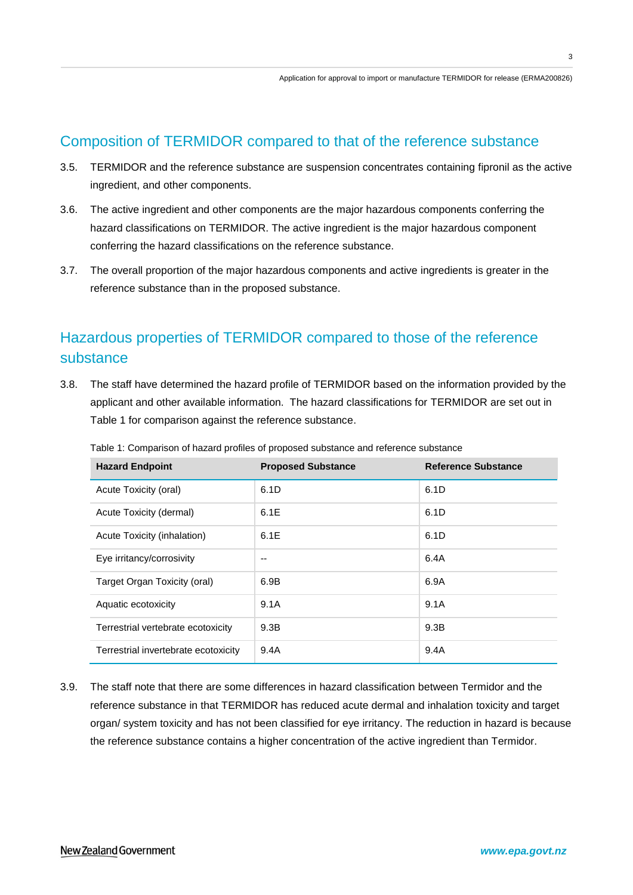## Composition of TERMIDOR compared to that of the reference substance

- 3.5. TERMIDOR and the reference substance are suspension concentrates containing fipronil as the active ingredient, and other components.
- 3.6. The active ingredient and other components are the major hazardous components conferring the hazard classifications on TERMIDOR. The active ingredient is the major hazardous component conferring the hazard classifications on the reference substance.
- 3.7. The overall proportion of the major hazardous components and active ingredients is greater in the reference substance than in the proposed substance.

## Hazardous properties of TERMIDOR compared to those of the reference substance

3.8. The staff have determined the hazard profile of TERMIDOR based on the information provided by the applicant and other available information. The hazard classifications for TERMIDOR are set out in Table 1 for comparison against the reference substance.

| <b>Hazard Endpoint</b>               | <b>Proposed Substance</b> | <b>Reference Substance</b> |
|--------------------------------------|---------------------------|----------------------------|
| Acute Toxicity (oral)                | 6.1D                      | 6.1D                       |
| Acute Toxicity (dermal)              | 6.1E                      | 6.1D                       |
| Acute Toxicity (inhalation)          | 6.1E                      | 6.1D                       |
| Eye irritancy/corrosivity            |                           | 6.4A                       |
| Target Organ Toxicity (oral)         | 6.9B                      | 6.9A                       |
| Aquatic ecotoxicity                  | 9.1A                      | 9.1A                       |
| Terrestrial vertebrate ecotoxicity   | 9.3B                      | 9.3B                       |
| Terrestrial invertebrate ecotoxicity | 9.4A                      | 9.4A                       |

Table 1: Comparison of hazard profiles of proposed substance and reference substance

3.9. The staff note that there are some differences in hazard classification between Termidor and the reference substance in that TERMIDOR has reduced acute dermal and inhalation toxicity and target organ/ system toxicity and has not been classified for eye irritancy. The reduction in hazard is because the reference substance contains a higher concentration of the active ingredient than Termidor.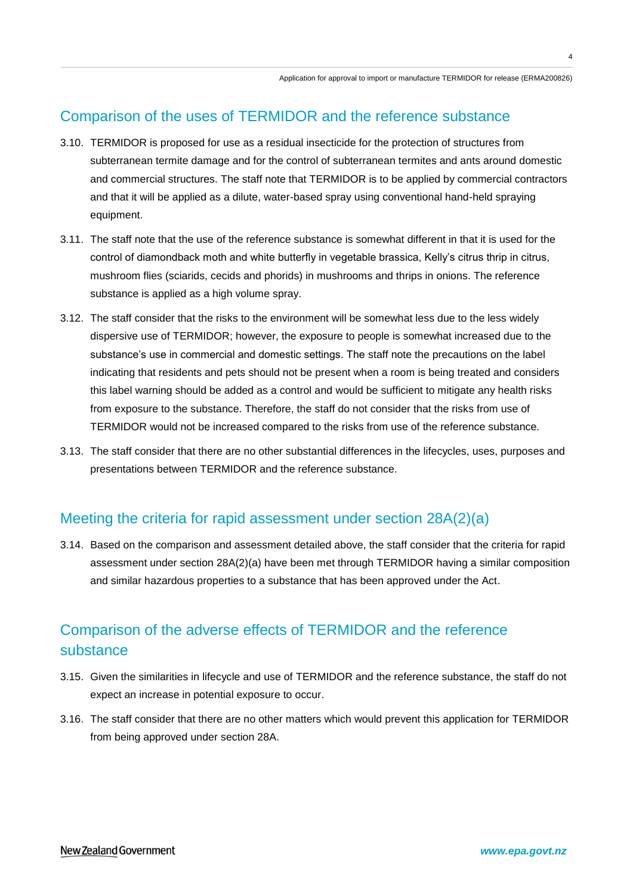## Comparison of the uses of TERMIDOR and the reference substance

- 3.10. TERMIDOR is proposed for use as a residual insecticide for the protection of structures from subterranean termite damage and for the control of subterranean termites and ants around domestic and commercial structures. The staff note that TERMIDOR is to be applied by commercial contractors and that it will be applied as a dilute, water-based spray using conventional hand-held spraying equipment.
- 3.11. The staff note that the use of the reference substance is somewhat different in that it is used for the control of diamondback moth and white butterfly in vegetable brassica, Kelly"s citrus thrip in citrus, mushroom flies (sciarids, cecids and phorids) in mushrooms and thrips in onions. The reference substance is applied as a high volume spray.
- 3.12. The staff consider that the risks to the environment will be somewhat less due to the less widely dispersive use of TERMIDOR; however, the exposure to people is somewhat increased due to the substance's use in commercial and domestic settings. The staff note the precautions on the label indicating that residents and pets should not be present when a room is being treated and considers this label warning should be added as a control and would be sufficient to mitigate any health risks from exposure to the substance. Therefore, the staff do not consider that the risks from use of TERMIDOR would not be increased compared to the risks from use of the reference substance.
- 3.13. The staff consider that there are no other substantial differences in the lifecycles, uses, purposes and presentations between TERMIDOR and the reference substance.

## Meeting the criteria for rapid assessment under section 28A(2)(a)

3.14. Based on the comparison and assessment detailed above, the staff consider that the criteria for rapid assessment under section 28A(2)(a) have been met through TERMIDOR having a similar composition and similar hazardous properties to a substance that has been approved under the Act.

## Comparison of the adverse effects of TERMIDOR and the reference substance

- 3.15. Given the similarities in lifecycle and use of TERMIDOR and the reference substance, the staff do not expect an increase in potential exposure to occur.
- 3.16. The staff consider that there are no other matters which would prevent this application for TERMIDOR from being approved under section 28A.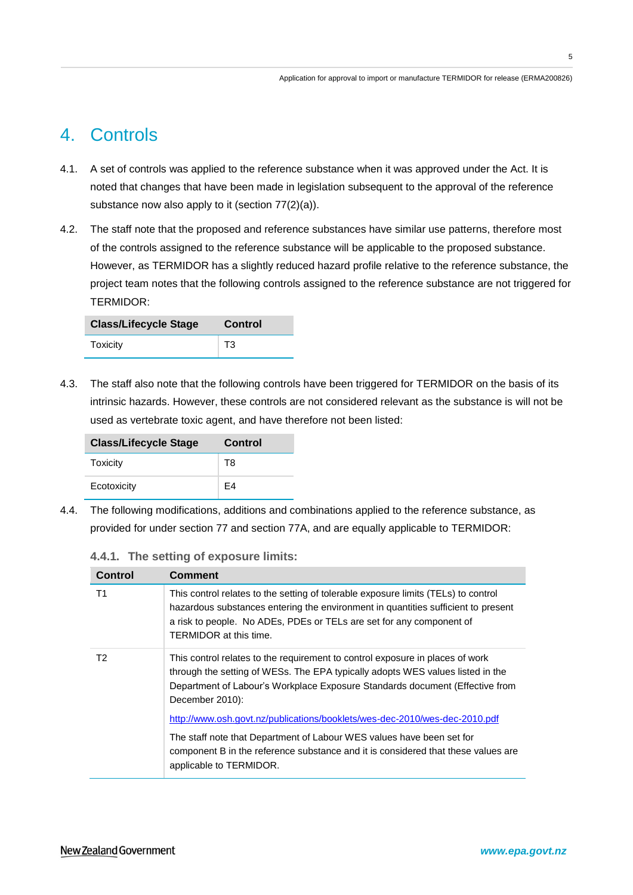## 4. Controls

- 4.1. A set of controls was applied to the reference substance when it was approved under the Act. It is noted that changes that have been made in legislation subsequent to the approval of the reference substance now also apply to it (section 77(2)(a)).
- 4.2. The staff note that the proposed and reference substances have similar use patterns, therefore most of the controls assigned to the reference substance will be applicable to the proposed substance. However, as TERMIDOR has a slightly reduced hazard profile relative to the reference substance, the project team notes that the following controls assigned to the reference substance are not triggered for TERMIDOR:

| <b>Class/Lifecycle Stage</b> | Control |
|------------------------------|---------|
| Toxicity                     | T3      |

4.3. The staff also note that the following controls have been triggered for TERMIDOR on the basis of its intrinsic hazards. However, these controls are not considered relevant as the substance is will not be used as vertebrate toxic agent, and have therefore not been listed:

| <b>Class/Lifecycle Stage</b> | Control |
|------------------------------|---------|
| Toxicity                     | T8      |
| Ecotoxicity                  | F4      |

4.4. The following modifications, additions and combinations applied to the reference substance, as provided for under section 77 and section 77A, and are equally applicable to TERMIDOR:

| 4.4.1. |  |  |  | The setting of exposure limits: |  |
|--------|--|--|--|---------------------------------|--|
|--------|--|--|--|---------------------------------|--|

| Control | <b>Comment</b>                                                                                                                                                                                                                                                            |
|---------|---------------------------------------------------------------------------------------------------------------------------------------------------------------------------------------------------------------------------------------------------------------------------|
| T1      | This control relates to the setting of tolerable exposure limits (TELs) to control<br>hazardous substances entering the environment in quantities sufficient to present<br>a risk to people. No ADEs, PDEs or TELs are set for any component of<br>TERMIDOR at this time. |
| T2      | This control relates to the requirement to control exposure in places of work<br>through the setting of WESs. The EPA typically adopts WES values listed in the<br>Department of Labour's Workplace Exposure Standards document (Effective from<br>December 2010):        |
|         | http://www.osh.govt.nz/publications/booklets/wes-dec-2010/wes-dec-2010.pdf                                                                                                                                                                                                |
|         | The staff note that Department of Labour WES values have been set for<br>component B in the reference substance and it is considered that these values are<br>applicable to TERMIDOR.                                                                                     |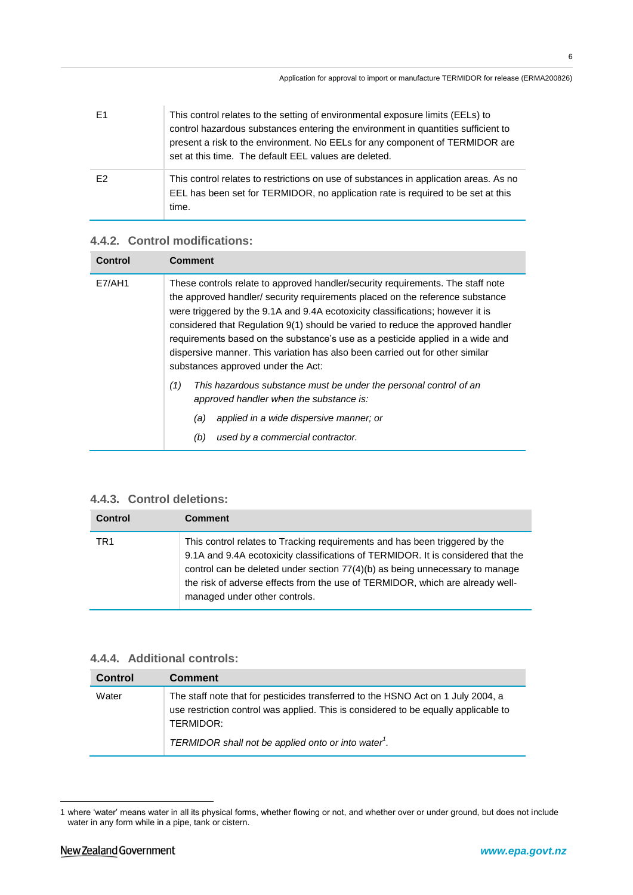| E1             | This control relates to the setting of environmental exposure limits (EELs) to<br>control hazardous substances entering the environment in quantities sufficient to<br>present a risk to the environment. No EELs for any component of TERMIDOR are<br>set at this time. The default EEL values are deleted. |
|----------------|--------------------------------------------------------------------------------------------------------------------------------------------------------------------------------------------------------------------------------------------------------------------------------------------------------------|
| F <sub>2</sub> | This control relates to restrictions on use of substances in application areas. As no<br>EEL has been set for TERMIDOR, no application rate is required to be set at this<br>time.                                                                                                                           |

### **4.4.2. Control modifications:**

| Control | Comment                                                                                                                                                                                                                                                                                                                                                                                                                                                                                                                                        |
|---------|------------------------------------------------------------------------------------------------------------------------------------------------------------------------------------------------------------------------------------------------------------------------------------------------------------------------------------------------------------------------------------------------------------------------------------------------------------------------------------------------------------------------------------------------|
| E7/AH1  | These controls relate to approved handler/security requirements. The staff note<br>the approved handler/ security requirements placed on the reference substance<br>were triggered by the 9.1A and 9.4A ecotoxicity classifications; however it is<br>considered that Regulation 9(1) should be varied to reduce the approved handler<br>requirements based on the substance's use as a pesticide applied in a wide and<br>dispersive manner. This variation has also been carried out for other similar<br>substances approved under the Act: |
|         | This hazardous substance must be under the personal control of an<br>(1)<br>approved handler when the substance is:<br>applied in a wide dispersive manner; or<br>(a)<br>used by a commercial contractor.<br>(b)                                                                                                                                                                                                                                                                                                                               |

### **4.4.3. Control deletions:**

| <b>Control</b>  | <b>Comment</b>                                                                                                                                                                                                                                                                                                                                                    |
|-----------------|-------------------------------------------------------------------------------------------------------------------------------------------------------------------------------------------------------------------------------------------------------------------------------------------------------------------------------------------------------------------|
| TR <sub>1</sub> | This control relates to Tracking requirements and has been triggered by the<br>9.1A and 9.4A ecotoxicity classifications of TERMIDOR. It is considered that the<br>control can be deleted under section 77(4)(b) as being unnecessary to manage<br>the risk of adverse effects from the use of TERMIDOR, which are already well-<br>managed under other controls. |

### **4.4.4. Additional controls:**

| <b>Control</b> | <b>Comment</b>                                                                                                                                                                                                                                          |
|----------------|---------------------------------------------------------------------------------------------------------------------------------------------------------------------------------------------------------------------------------------------------------|
| Water          | The staff note that for pesticides transferred to the HSNO Act on 1 July 2004, a<br>use restriction control was applied. This is considered to be equally applicable to<br>TERMIDOR:<br>TERMIDOR shall not be applied onto or into water <sup>1</sup> . |

<u>.</u>

<sup>1</sup> where "water" means water in all its physical forms, whether flowing or not, and whether over or under ground, but does not include water in any form while in a pipe, tank or cistern.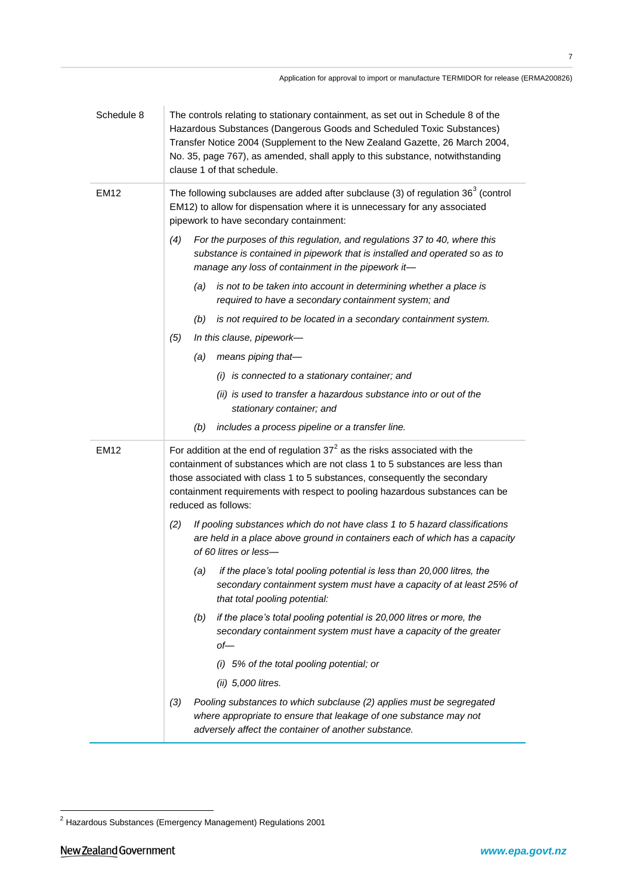| Schedule 8  | The controls relating to stationary containment, as set out in Schedule 8 of the<br>Hazardous Substances (Dangerous Goods and Scheduled Toxic Substances)<br>Transfer Notice 2004 (Supplement to the New Zealand Gazette, 26 March 2004,<br>No. 35, page 767), as amended, shall apply to this substance, notwithstanding<br>clause 1 of that schedule. |
|-------------|---------------------------------------------------------------------------------------------------------------------------------------------------------------------------------------------------------------------------------------------------------------------------------------------------------------------------------------------------------|
| <b>EM12</b> | The following subclauses are added after subclause (3) of regulation $363$ (control<br>EM12) to allow for dispensation where it is unnecessary for any associated<br>pipework to have secondary containment:                                                                                                                                            |
|             | For the purposes of this regulation, and regulations 37 to 40, where this<br>(4)<br>substance is contained in pipework that is installed and operated so as to<br>manage any loss of containment in the pipework it-                                                                                                                                    |
|             | is not to be taken into account in determining whether a place is<br>(a)<br>required to have a secondary containment system; and                                                                                                                                                                                                                        |
|             | (b) is not required to be located in a secondary containment system.                                                                                                                                                                                                                                                                                    |
|             | (5)<br>In this clause, pipework-                                                                                                                                                                                                                                                                                                                        |
|             | means piping that-<br>(a)                                                                                                                                                                                                                                                                                                                               |
|             | (i) is connected to a stationary container; and                                                                                                                                                                                                                                                                                                         |
|             | (ii) is used to transfer a hazardous substance into or out of the<br>stationary container; and                                                                                                                                                                                                                                                          |
|             | includes a process pipeline or a transfer line.<br>(b)                                                                                                                                                                                                                                                                                                  |
|             |                                                                                                                                                                                                                                                                                                                                                         |
| <b>EM12</b> | For addition at the end of regulation $372$ as the risks associated with the<br>containment of substances which are not class 1 to 5 substances are less than<br>those associated with class 1 to 5 substances, consequently the secondary<br>containment requirements with respect to pooling hazardous substances can be<br>reduced as follows:       |
|             | If pooling substances which do not have class 1 to 5 hazard classifications<br>(2)<br>are held in a place above ground in containers each of which has a capacity<br>of 60 litres or less-                                                                                                                                                              |
|             | if the place's total pooling potential is less than 20,000 litres, the<br>(a)<br>secondary containment system must have a capacity of at least 25% of<br>that total pooling potential:                                                                                                                                                                  |
|             | if the place's total pooling potential is 20,000 litres or more, the<br>(b)<br>secondary containment system must have a capacity of the greater<br>$of$ —                                                                                                                                                                                               |
|             | (i) 5% of the total pooling potential; or                                                                                                                                                                                                                                                                                                               |
|             | (ii) 5,000 litres.                                                                                                                                                                                                                                                                                                                                      |

<u>.</u>

 $2$  Hazardous Substances (Emergency Management) Regulations 2001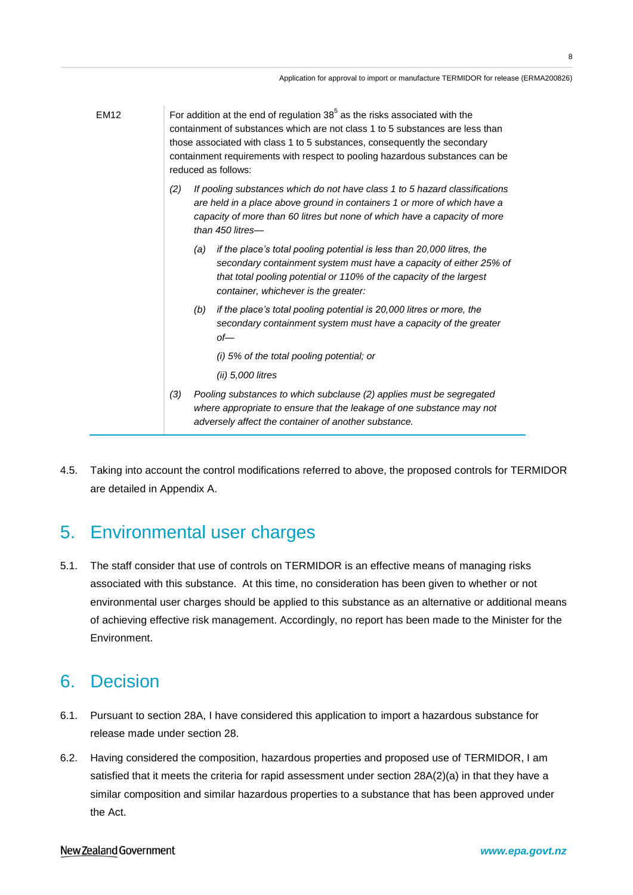| <b>EM12</b> | For addition at the end of regulation $385$ as the risks associated with the<br>containment of substances which are not class 1 to 5 substances are less than<br>those associated with class 1 to 5 substances, consequently the secondary<br>containment requirements with respect to pooling hazardous substances can be<br>reduced as follows: |
|-------------|---------------------------------------------------------------------------------------------------------------------------------------------------------------------------------------------------------------------------------------------------------------------------------------------------------------------------------------------------|
|             | (2)<br>If pooling substances which do not have class 1 to 5 hazard classifications<br>are held in a place above ground in containers 1 or more of which have a<br>capacity of more than 60 litres but none of which have a capacity of more<br>than 450 litres-                                                                                   |
|             | if the place's total pooling potential is less than 20,000 litres, the<br>(a)<br>secondary containment system must have a capacity of either 25% of<br>that total pooling potential or 110% of the capacity of the largest<br>container, whichever is the greater:                                                                                |
|             | if the place's total pooling potential is 20,000 litres or more, the<br>(b)<br>secondary containment system must have a capacity of the greater<br>$of$ —                                                                                                                                                                                         |
|             | (i) 5% of the total pooling potential; or                                                                                                                                                                                                                                                                                                         |
|             | $(ii)$ 5,000 litres                                                                                                                                                                                                                                                                                                                               |
|             | (3)<br>Pooling substances to which subclause (2) applies must be segregated<br>where appropriate to ensure that the leakage of one substance may not<br>adversely affect the container of another substance.                                                                                                                                      |

4.5. Taking into account the control modifications referred to above, the proposed controls for TERMIDOR are detailed in Appendix A.

# 5. Environmental user charges

5.1. The staff consider that use of controls on TERMIDOR is an effective means of managing risks associated with this substance. At this time, no consideration has been given to whether or not environmental user charges should be applied to this substance as an alternative or additional means of achieving effective risk management. Accordingly, no report has been made to the Minister for the Environment.

## 6. Decision

- 6.1. Pursuant to section 28A, I have considered this application to import a hazardous substance for release made under section 28.
- 6.2. Having considered the composition, hazardous properties and proposed use of TERMIDOR, I am satisfied that it meets the criteria for rapid assessment under section 28A(2)(a) in that they have a similar composition and similar hazardous properties to a substance that has been approved under the Act.

#### New Zealand Government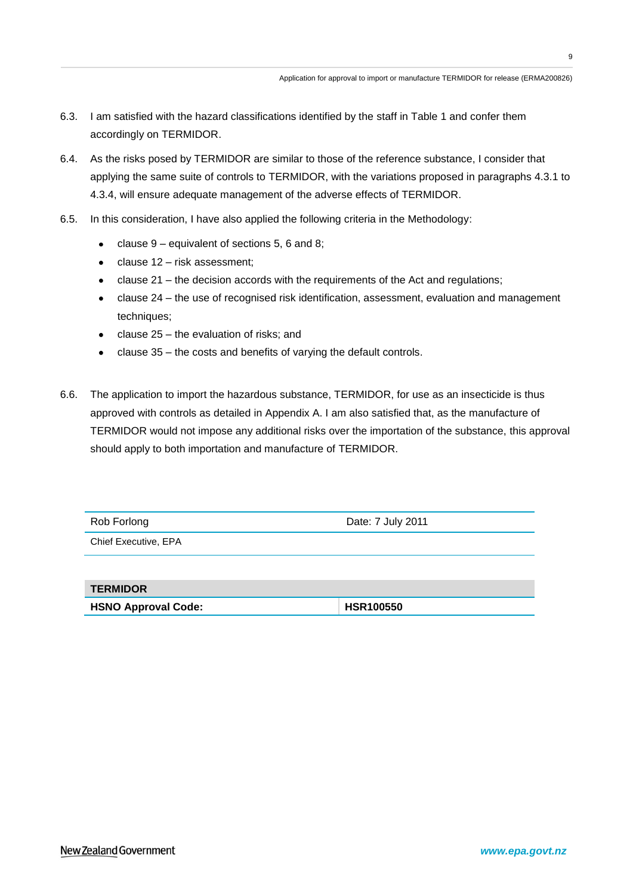- 6.3. I am satisfied with the hazard classifications identified by the staff in Table 1 and confer them accordingly on TERMIDOR.
- 6.4. As the risks posed by TERMIDOR are similar to those of the reference substance, I consider that applying the same suite of controls to TERMIDOR, with the variations proposed in paragraphs 4.3.1 to 4.3.4, will ensure adequate management of the adverse effects of TERMIDOR.
- 6.5. In this consideration, I have also applied the following criteria in the Methodology:
	- clause 9 equivalent of sections 5, 6 and 8;
	- clause 12 risk assessment;
	- clause 21 the decision accords with the requirements of the Act and regulations;
	- clause 24 the use of recognised risk identification, assessment, evaluation and management techniques:
	- clause 25 the evaluation of risks; and
	- clause 35 the costs and benefits of varying the default controls.  $\bullet$
- 6.6. The application to import the hazardous substance, TERMIDOR, for use as an insecticide is thus approved with controls as detailed in Appendix A. I am also satisfied that, as the manufacture of TERMIDOR would not impose any additional risks over the importation of the substance, this approval should apply to both importation and manufacture of TERMIDOR.

| Rob Forlong          | Date: 7 July 2011 |
|----------------------|-------------------|
| Chief Executive, EPA |                   |
|                      |                   |
| <b>TEDMINAD</b>      |                   |

| <b>TERMIDOR</b>            |                  |
|----------------------------|------------------|
| <b>HSNO Approval Code:</b> | <b>HSR100550</b> |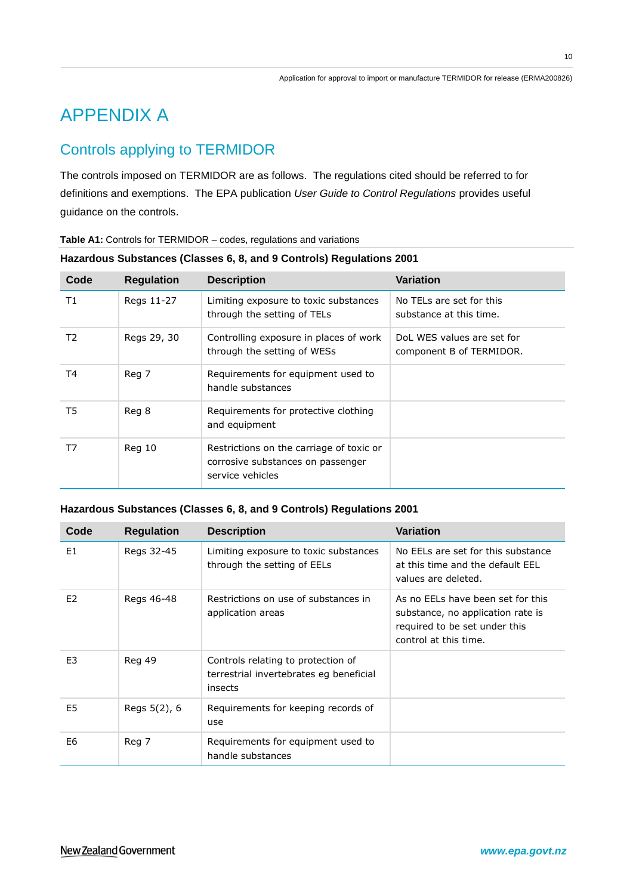# APPENDIX A

## Controls applying to TERMIDOR

The controls imposed on TERMIDOR are as follows. The regulations cited should be referred to for definitions and exemptions. The EPA publication *User Guide to Control Regulations* provides useful guidance on the controls.

| Code | <b>Regulation</b> | <b>Description</b>                                                                                | <b>Variation</b>                                       |
|------|-------------------|---------------------------------------------------------------------------------------------------|--------------------------------------------------------|
| T1   | Regs 11-27        | Limiting exposure to toxic substances<br>through the setting of TELs                              | No TELs are set for this<br>substance at this time.    |
| T2   | Regs 29, 30       | Controlling exposure in places of work<br>through the setting of WESs                             | DoL WES values are set for<br>component B of TERMIDOR. |
| T4   | Reg 7             | Requirements for equipment used to<br>handle substances                                           |                                                        |
| T5   | Reg 8             | Requirements for protective clothing<br>and equipment                                             |                                                        |
| T7   | Reg 10            | Restrictions on the carriage of toxic or<br>corrosive substances on passenger<br>service vehicles |                                                        |

### **Hazardous Substances (Classes 6, 8, and 9 Controls) Regulations 2001**

#### **Hazardous Substances (Classes 6, 8, and 9 Controls) Regulations 2001**

| Code           | <b>Regulation</b> | <b>Description</b>                                                                       | Variation                                                                                                                        |
|----------------|-------------------|------------------------------------------------------------------------------------------|----------------------------------------------------------------------------------------------------------------------------------|
| E1             | Regs 32-45        | Limiting exposure to toxic substances<br>through the setting of EELs                     | No EELs are set for this substance<br>at this time and the default EEL<br>values are deleted.                                    |
| E <sub>2</sub> | Regs 46-48        | Restrictions on use of substances in<br>application areas                                | As no EELs have been set for this<br>substance, no application rate is<br>required to be set under this<br>control at this time. |
| E <sub>3</sub> | Reg 49            | Controls relating to protection of<br>terrestrial invertebrates eg beneficial<br>insects |                                                                                                                                  |
| E5             | Regs 5(2), 6      | Requirements for keeping records of<br>use                                               |                                                                                                                                  |
| E6             | Reg 7             | Requirements for equipment used to<br>handle substances                                  |                                                                                                                                  |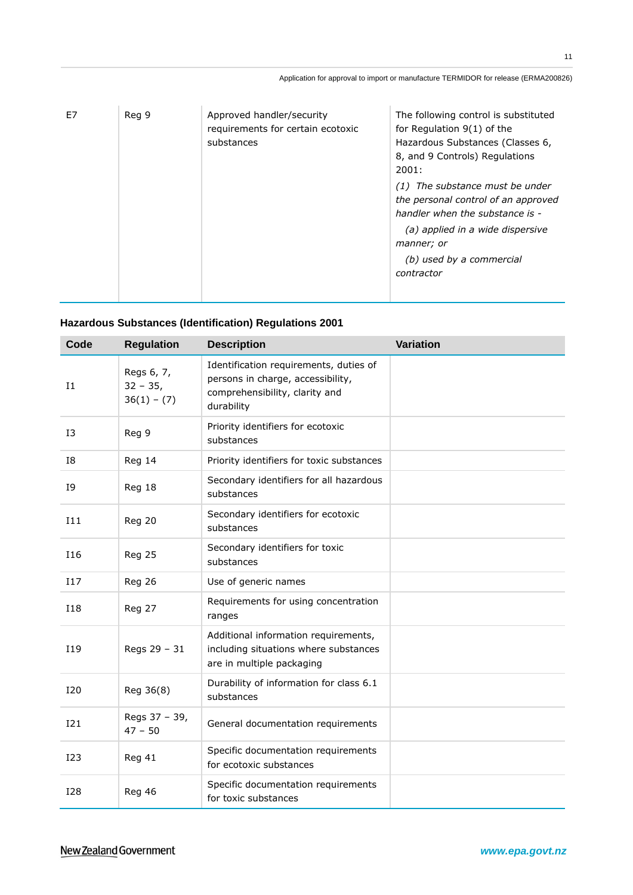| F7 | Reg 9 | Approved handler/security<br>requirements for certain ecotoxic<br>substances | The following control is substituted<br>for Regulation 9(1) of the<br>Hazardous Substances (Classes 6,<br>8, and 9 Controls) Regulations<br>2001:<br>The substance must be under<br>(1)<br>the personal control of an approved<br>handler when the substance is -<br>(a) applied in a wide dispersive<br>manner; or<br>(b) used by a commercial<br>contractor |
|----|-------|------------------------------------------------------------------------------|---------------------------------------------------------------------------------------------------------------------------------------------------------------------------------------------------------------------------------------------------------------------------------------------------------------------------------------------------------------|
|    |       |                                                                              |                                                                                                                                                                                                                                                                                                                                                               |

### **Hazardous Substances (Identification) Regulations 2001**

| Code            | <b>Regulation</b>                        | <b>Description</b>                                                                                                          | <b>Variation</b> |
|-----------------|------------------------------------------|-----------------------------------------------------------------------------------------------------------------------------|------------------|
| $_{11}$         | Regs 6, 7,<br>$32 - 35$<br>$36(1) - (7)$ | Identification requirements, duties of<br>persons in charge, accessibility,<br>comprehensibility, clarity and<br>durability |                  |
| 13              | Reg 9                                    | Priority identifiers for ecotoxic<br>substances                                                                             |                  |
| <b>I8</b>       | Reg 14                                   | Priority identifiers for toxic substances                                                                                   |                  |
| I9              | Reg 18                                   | Secondary identifiers for all hazardous<br>substances                                                                       |                  |
| I11             | Reg 20                                   | Secondary identifiers for ecotoxic<br>substances                                                                            |                  |
| <b>I16</b>      | <b>Reg 25</b>                            | Secondary identifiers for toxic<br>substances                                                                               |                  |
| <b>I17</b>      | <b>Reg 26</b>                            | Use of generic names                                                                                                        |                  |
| <b>I18</b>      | Reg 27                                   | Requirements for using concentration<br>ranges                                                                              |                  |
| I19             | Regs 29 - 31                             | Additional information requirements,<br>including situations where substances<br>are in multiple packaging                  |                  |
| <b>I20</b>      | Reg 36(8)                                | Durability of information for class 6.1<br>substances                                                                       |                  |
| I21             | Regs 37 - 39,<br>$47 - 50$               | General documentation requirements                                                                                          |                  |
| I <sub>23</sub> | <b>Reg 41</b>                            | Specific documentation requirements<br>for ecotoxic substances                                                              |                  |
| <b>I28</b>      | Reg 46                                   | Specific documentation requirements<br>for toxic substances                                                                 |                  |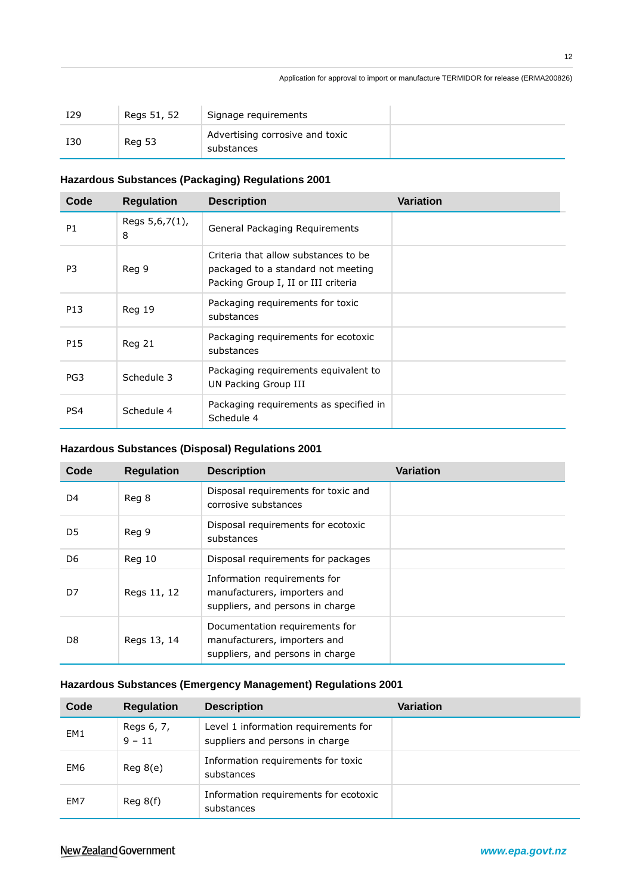#### Application for approval to import or manufacture TERMIDOR for release (ERMA200826)

| I29 | Regs 51, 52   | Signage requirements                          |  |
|-----|---------------|-----------------------------------------------|--|
| I30 | <b>Reg 53</b> | Advertising corrosive and toxic<br>substances |  |

#### **Hazardous Substances (Packaging) Regulations 2001**

| Code            | <b>Regulation</b>   | <b>Description</b>                                                                                                | <b>Variation</b> |
|-----------------|---------------------|-------------------------------------------------------------------------------------------------------------------|------------------|
| P <sub>1</sub>  | Regs 5,6,7(1),<br>8 | General Packaging Requirements                                                                                    |                  |
| P <sub>3</sub>  | Reg 9               | Criteria that allow substances to be<br>packaged to a standard not meeting<br>Packing Group I, II or III criteria |                  |
| P13             | <b>Reg 19</b>       | Packaging requirements for toxic<br>substances                                                                    |                  |
| P15             | Reg 21              | Packaging requirements for ecotoxic<br>substances                                                                 |                  |
| PG <sub>3</sub> | Schedule 3          | Packaging requirements equivalent to<br>UN Packing Group III                                                      |                  |
| PS4             | Schedule 4          | Packaging requirements as specified in<br>Schedule 4                                                              |                  |

### **Hazardous Substances (Disposal) Regulations 2001**

| Code | <b>Regulation</b> | <b>Description</b>                                                                                 | Variation |
|------|-------------------|----------------------------------------------------------------------------------------------------|-----------|
| D4   | Reg 8             | Disposal requirements for toxic and<br>corrosive substances                                        |           |
| D5   | Reg 9             | Disposal requirements for ecotoxic<br>substances                                                   |           |
| D6   | Reg 10            | Disposal requirements for packages                                                                 |           |
| D7   | Regs 11, 12       | Information requirements for<br>manufacturers, importers and<br>suppliers, and persons in charge   |           |
| D8   | Regs 13, 14       | Documentation requirements for<br>manufacturers, importers and<br>suppliers, and persons in charge |           |

### **Hazardous Substances (Emergency Management) Regulations 2001**

| Code            | <b>Regulation</b>      | <b>Description</b>                                                      | <b>Variation</b> |
|-----------------|------------------------|-------------------------------------------------------------------------|------------------|
| EM <sub>1</sub> | Regs 6, 7,<br>$9 - 11$ | Level 1 information requirements for<br>suppliers and persons in charge |                  |
| EM6             | Reg 8(e)               | Information requirements for toxic<br>substances                        |                  |
| EM7             | Reg 8(f)               | Information requirements for ecotoxic<br>substances                     |                  |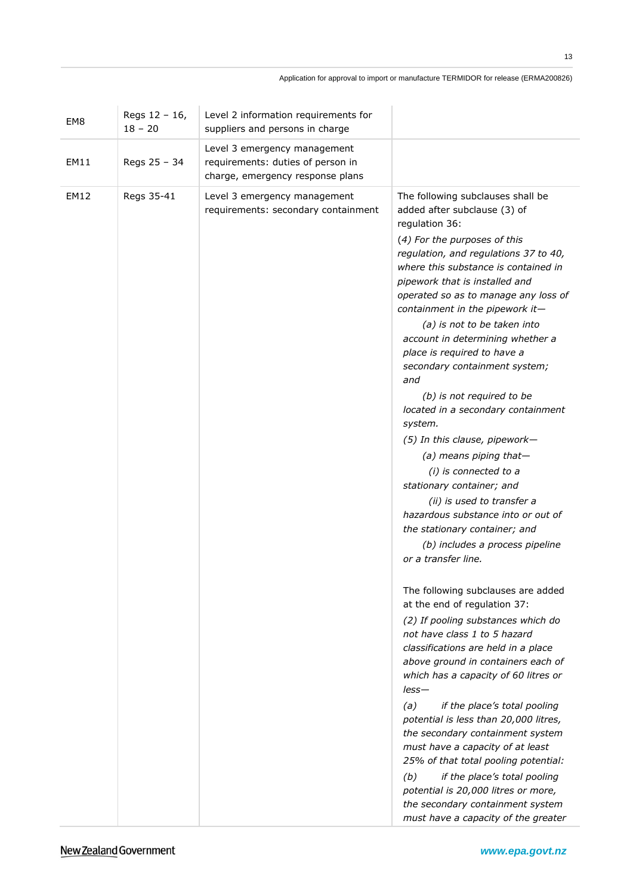| EM <sub>8</sub> | Regs 12 - 16,<br>$18 - 20$ | Level 2 information requirements for<br>suppliers and persons in charge                               |                                                                                                                                                                                                                                                                                                                                                                                                                                                                                                                                                                                                                                                                                                                                                                                                                           |
|-----------------|----------------------------|-------------------------------------------------------------------------------------------------------|---------------------------------------------------------------------------------------------------------------------------------------------------------------------------------------------------------------------------------------------------------------------------------------------------------------------------------------------------------------------------------------------------------------------------------------------------------------------------------------------------------------------------------------------------------------------------------------------------------------------------------------------------------------------------------------------------------------------------------------------------------------------------------------------------------------------------|
| EM11            | Regs 25 - 34               | Level 3 emergency management<br>requirements: duties of person in<br>charge, emergency response plans |                                                                                                                                                                                                                                                                                                                                                                                                                                                                                                                                                                                                                                                                                                                                                                                                                           |
| <b>EM12</b>     | Regs 35-41                 | Level 3 emergency management<br>requirements: secondary containment                                   | The following subclauses shall be<br>added after subclause (3) of<br>regulation 36:<br>(4) For the purposes of this<br>regulation, and regulations 37 to 40,<br>where this substance is contained in<br>pipework that is installed and<br>operated so as to manage any loss of<br>containment in the pipework it-<br>(a) is not to be taken into<br>account in determining whether a<br>place is required to have a<br>secondary containment system;<br>and<br>(b) is not required to be<br>located in a secondary containment<br>system.<br>(5) In this clause, pipework-<br>(a) means piping that-<br>(i) is connected to a<br>stationary container; and<br>(ii) is used to transfer a<br>hazardous substance into or out of<br>the stationary container; and<br>(b) includes a process pipeline<br>or a transfer line. |
|                 |                            |                                                                                                       | The following subclauses are added<br>at the end of regulation 37:<br>(2) If pooling substances which do<br>not have class 1 to 5 hazard<br>classifications are held in a place<br>above ground in containers each of<br>which has a capacity of 60 litres or<br>$less-$<br>(a)<br>if the place's total pooling<br>potential is less than 20,000 litres,<br>the secondary containment system<br>must have a capacity of at least<br>25% of that total pooling potential:<br>(b)<br>if the place's total pooling<br>potential is 20,000 litres or more,<br>the secondary containment system<br>must have a capacity of the greater                                                                                                                                                                                         |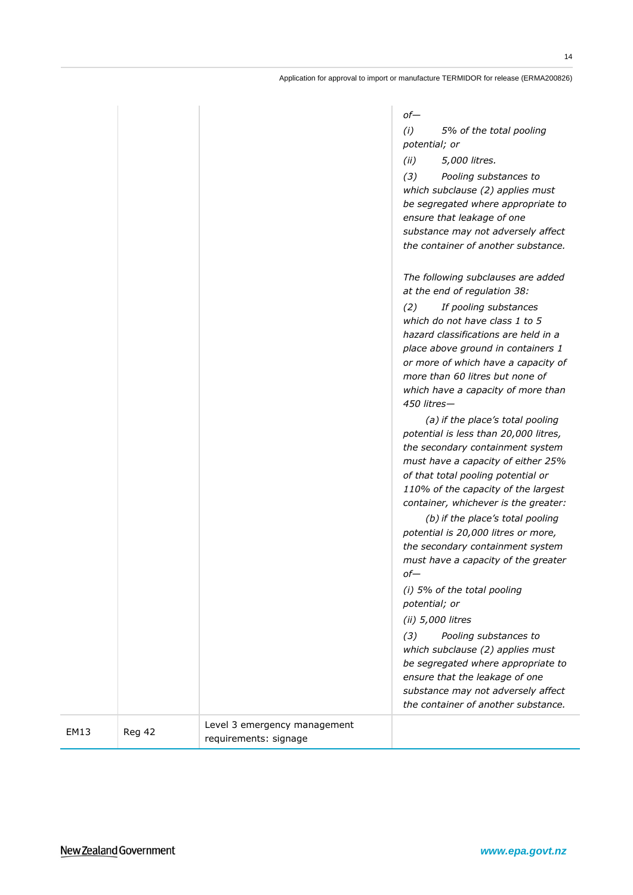|      |        |                                                       | $of-$<br>(i)<br>5% of the total pooling<br>potential; or<br>(ii)<br>5,000 litres.<br>(3)<br>Pooling substances to<br>which subclause (2) applies must<br>be segregated where appropriate to<br>ensure that leakage of one<br>substance may not adversely affect<br>the container of another substance.                                                                                                                                |
|------|--------|-------------------------------------------------------|---------------------------------------------------------------------------------------------------------------------------------------------------------------------------------------------------------------------------------------------------------------------------------------------------------------------------------------------------------------------------------------------------------------------------------------|
|      |        |                                                       | The following subclauses are added<br>at the end of regulation 38:<br>(2)<br>If pooling substances<br>which do not have class 1 to 5<br>hazard classifications are held in a<br>place above ground in containers 1<br>or more of which have a capacity of<br>more than 60 litres but none of<br>which have a capacity of more than<br>450 litres-                                                                                     |
|      |        |                                                       | (a) if the place's total pooling<br>potential is less than 20,000 litres,<br>the secondary containment system<br>must have a capacity of either 25%<br>of that total pooling potential or<br>110% of the capacity of the largest<br>container, whichever is the greater:<br>(b) if the place's total pooling<br>potential is 20,000 litres or more,<br>the secondary containment system<br>must have a capacity of the greater<br>of- |
|      |        |                                                       | (i) 5% of the total pooling<br>potential; or<br>(ii) 5,000 litres                                                                                                                                                                                                                                                                                                                                                                     |
|      |        |                                                       | (3)<br>Pooling substances to<br>which subclause (2) applies must<br>be segregated where appropriate to<br>ensure that the leakage of one<br>substance may not adversely affect<br>the container of another substance.                                                                                                                                                                                                                 |
| EM13 | Reg 42 | Level 3 emergency management<br>requirements: signage |                                                                                                                                                                                                                                                                                                                                                                                                                                       |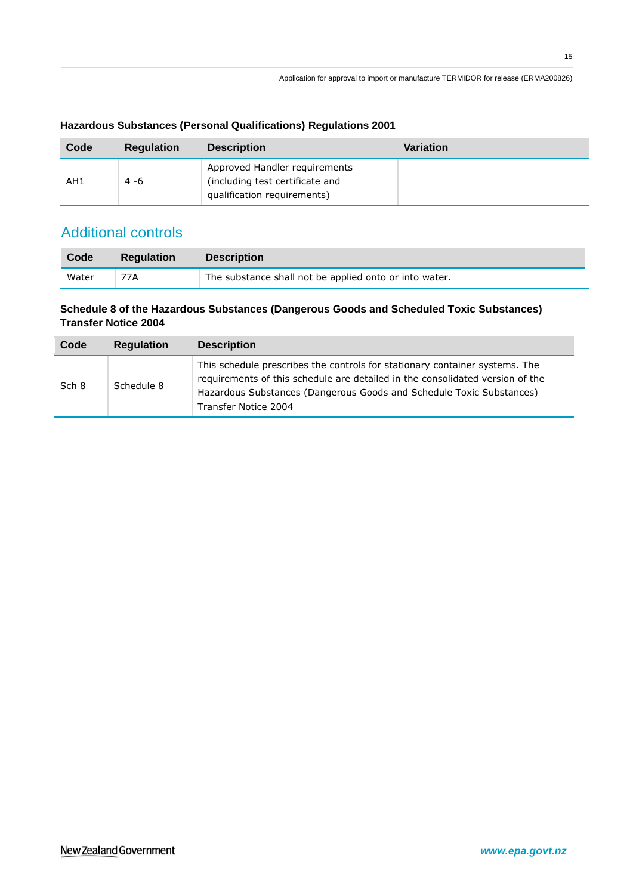| Code | <b>Regulation</b> | <b>Description</b>                                                                              | Variation |
|------|-------------------|-------------------------------------------------------------------------------------------------|-----------|
| AH1  | $4 - 6$           | Approved Handler requirements<br>(including test certificate and<br>qualification requirements) |           |

### **Hazardous Substances (Personal Qualifications) Regulations 2001**

## Additional controls

| Code  | <b>Regulation</b> | <b>Description</b>                                     |
|-------|-------------------|--------------------------------------------------------|
| Water | 77A               | The substance shall not be applied onto or into water. |

### **Schedule 8 of the Hazardous Substances (Dangerous Goods and Scheduled Toxic Substances) Transfer Notice 2004**

| Code  | <b>Regulation</b> | <b>Description</b>                                                                                                                                                                                                                                           |
|-------|-------------------|--------------------------------------------------------------------------------------------------------------------------------------------------------------------------------------------------------------------------------------------------------------|
| Sch 8 | Schedule 8        | This schedule prescribes the controls for stationary container systems. The<br>requirements of this schedule are detailed in the consolidated version of the<br>Hazardous Substances (Dangerous Goods and Schedule Toxic Substances)<br>Transfer Notice 2004 |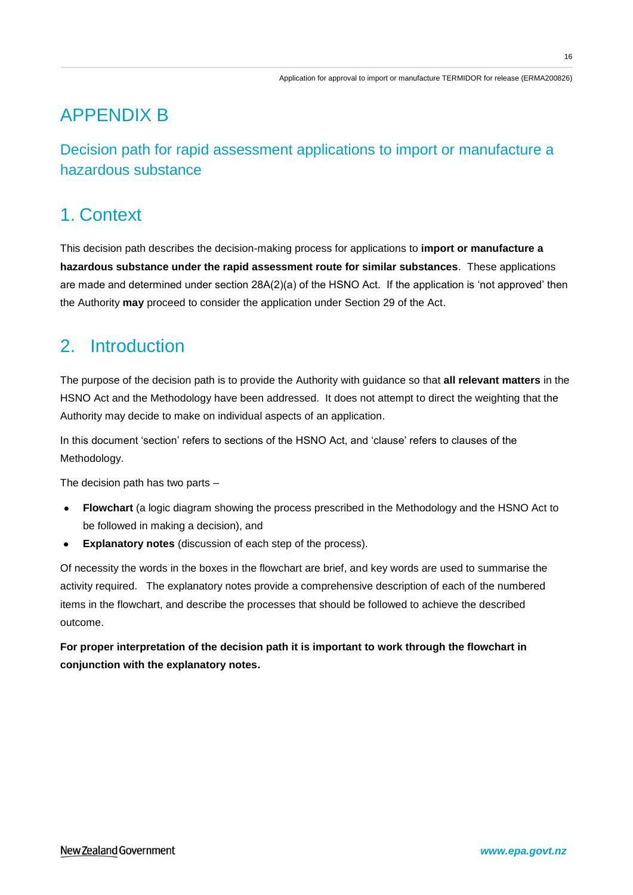# APPENDIX B

Decision path for rapid assessment applications to import or manufacture a hazardous substance

# 1. Context

This decision path describes the decision-making process for applications to **import or manufacture a hazardous substance under the rapid assessment route for similar substances**. These applications are made and determined under section 28A(2)(a) of the HSNO Act. If the application is "not approved" then the Authority **may** proceed to consider the application under Section 29 of the Act.

# 2. Introduction

The purpose of the decision path is to provide the Authority with guidance so that **all relevant matters** in the HSNO Act and the Methodology have been addressed. It does not attempt to direct the weighting that the Authority may decide to make on individual aspects of an application.

In this document 'section' refers to sections of the HSNO Act, and 'clause' refers to clauses of the Methodology.

The decision path has two parts –

- $\bullet$ **Flowchart** (a logic diagram showing the process prescribed in the Methodology and the HSNO Act to be followed in making a decision), and
- $\bullet$ **Explanatory notes** (discussion of each step of the process).

Of necessity the words in the boxes in the flowchart are brief, and key words are used to summarise the activity required. The explanatory notes provide a comprehensive description of each of the numbered items in the flowchart, and describe the processes that should be followed to achieve the described outcome.

**For proper interpretation of the decision path it is important to work through the flowchart in conjunction with the explanatory notes.**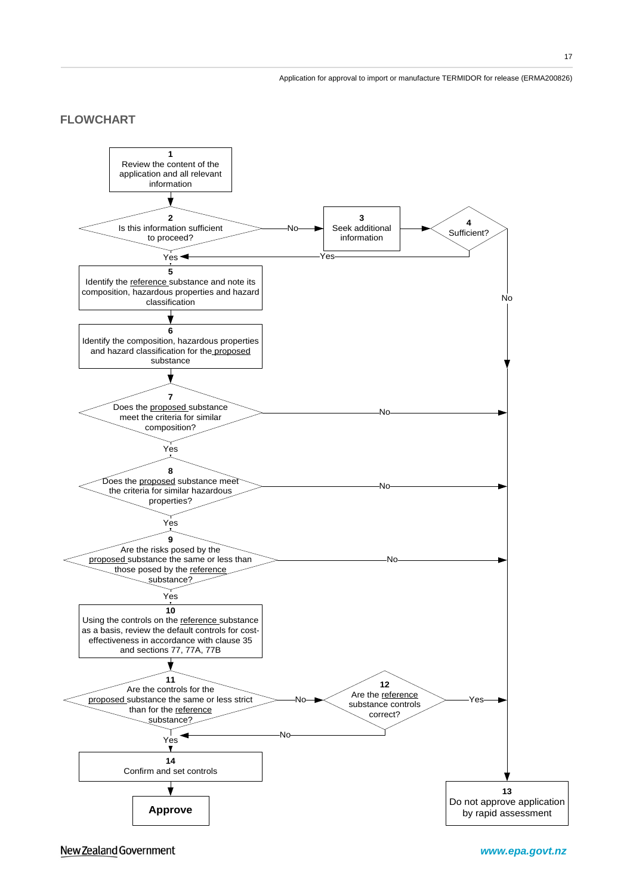### **FLOWCHART**



New Zealand Government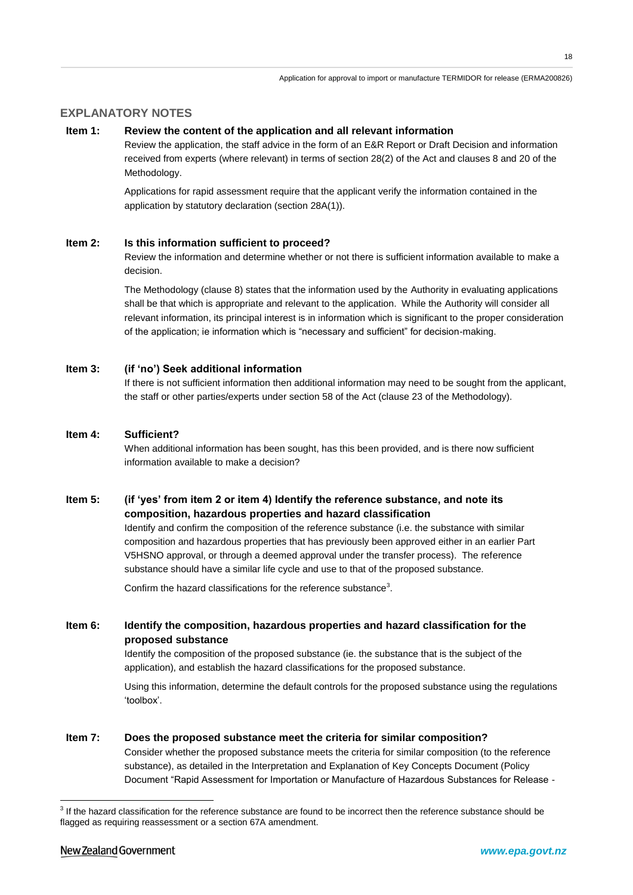### **EXPLANATORY NOTES**

#### **Item 1: Review the content of the application and all relevant information**

Review the application, the staff advice in the form of an E&R Report or Draft Decision and information received from experts (where relevant) in terms of section 28(2) of the Act and clauses 8 and 20 of the Methodology.

Applications for rapid assessment require that the applicant verify the information contained in the application by statutory declaration (section 28A(1)).

#### **Item 2: Is this information sufficient to proceed?**

Review the information and determine whether or not there is sufficient information available to make a decision.

The Methodology (clause 8) states that the information used by the Authority in evaluating applications shall be that which is appropriate and relevant to the application. While the Authority will consider all relevant information, its principal interest is in information which is significant to the proper consideration of the application; ie information which is "necessary and sufficient" for decision-making.

#### **Item 3: (if 'no') Seek additional information**

If there is not sufficient information then additional information may need to be sought from the applicant, the staff or other parties/experts under section 58 of the Act (clause 23 of the Methodology).

#### **Item 4: Sufficient?**

When additional information has been sought, has this been provided, and is there now sufficient information available to make a decision?

#### **Item 5: (if 'yes' from item 2 or item 4) Identify the reference substance, and note its composition, hazardous properties and hazard classification**

Identify and confirm the composition of the reference substance (i.e. the substance with similar composition and hazardous properties that has previously been approved either in an earlier Part V5HSNO approval, or through a deemed approval under the transfer process). The reference substance should have a similar life cycle and use to that of the proposed substance.

Confirm the hazard classifications for the reference substance<sup>3</sup>.

#### **Item 6: Identify the composition, hazardous properties and hazard classification for the proposed substance**

Identify the composition of the proposed substance (ie. the substance that is the subject of the application), and establish the hazard classifications for the proposed substance.

Using this information, determine the default controls for the proposed substance using the regulations "toolbox".

#### **Item 7: Does the proposed substance meet the criteria for similar composition?**

Consider whether the proposed substance meets the criteria for similar composition (to the reference substance), as detailed in the Interpretation and Explanation of Key Concepts Document (Policy Document "Rapid Assessment for Importation or Manufacture of Hazardous Substances for Release -

<u>.</u>

<sup>&</sup>lt;sup>3</sup> If the hazard classification for the reference substance are found to be incorrect then the reference substance should be flagged as requiring reassessment or a section 67A amendment.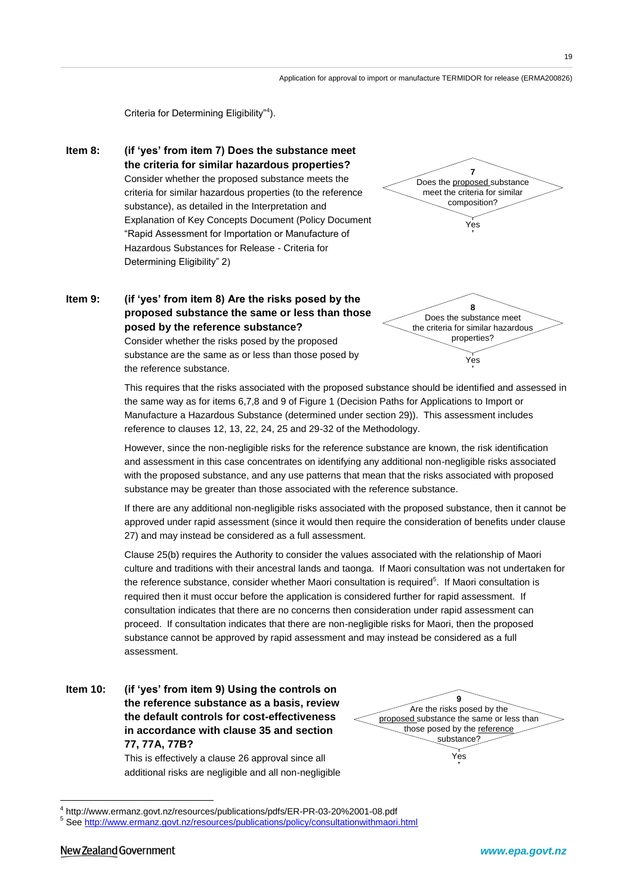<u>.</u>

Criteria for Determining Eligibility"<sup>4</sup>).

**Item 8: (if 'yes' from item 7) Does the substance meet the criteria for similar hazardous properties?** Consider whether the proposed substance meets the criteria for similar hazardous properties (to the reference substance), as detailed in the Interpretation and Explanation of Key Concepts Document (Policy Document "Rapid Assessment for Importation or Manufacture of Hazardous Substances for Release - Criteria for Determining Eligibility" 2)

## **Item 9: (if 'yes' from item 8) Are the risks posed by the proposed substance the same or less than those posed by the reference substance?**

Consider whether the risks posed by the proposed substance are the same as or less than those posed by the reference substance.

This requires that the risks associated with the proposed substance should be identified and assessed in the same way as for items 6,7,8 and 9 of Figure 1 (Decision Paths for Applications to Import or Manufacture a Hazardous Substance (determined under section 29)). This assessment includes reference to clauses 12, 13, 22, 24, 25 and 29-32 of the Methodology.

Application for approval to import or manufacture TERMIDOR for release (ERMA200826)

**7** Does the proposed substance meet the criteria for similar composition?

Yes

**8** Does the substance meet the criteria for similar hazardous properties?

Yes

However, since the non-negligible risks for the reference substance are known, the risk identification and assessment in this case concentrates on identifying any additional non-negligible risks associated with the proposed substance, and any use patterns that mean that the risks associated with proposed substance may be greater than those associated with the reference substance.

If there are any additional non-negligible risks associated with the proposed substance, then it cannot be approved under rapid assessment (since it would then require the consideration of benefits under clause 27) and may instead be considered as a full assessment.

Clause 25(b) requires the Authority to consider the values associated with the relationship of Maori culture and traditions with their ancestral lands and taonga. If Maori consultation was not undertaken for the reference substance, consider whether Maori consultation is required<sup>5</sup>. If Maori consultation is required then it must occur before the application is considered further for rapid assessment. If consultation indicates that there are no concerns then consideration under rapid assessment can proceed. If consultation indicates that there are non-negligible risks for Maori, then the proposed substance cannot be approved by rapid assessment and may instead be considered as a full assessment.

This is effectively a clause 26 approval since all additional risks are negligible and all non-negligible

<sup>5</sup> Se[e http://www.ermanz.govt.nz/resources/publications/policy/consultationwithmaori.html](http://www.ermanz.govt.nz/resources/publications/policy/consultationwithmaori.html)

**Item 10: (if 'yes' from item 9) Using the controls on the reference substance as a basis, review the default controls for cost-effectiveness in accordance with clause 35 and section 77, 77A, 77B?**

**<sup>9</sup>** Are the risks posed by the proposed substance the same or less than those posed by the reference substance? Yes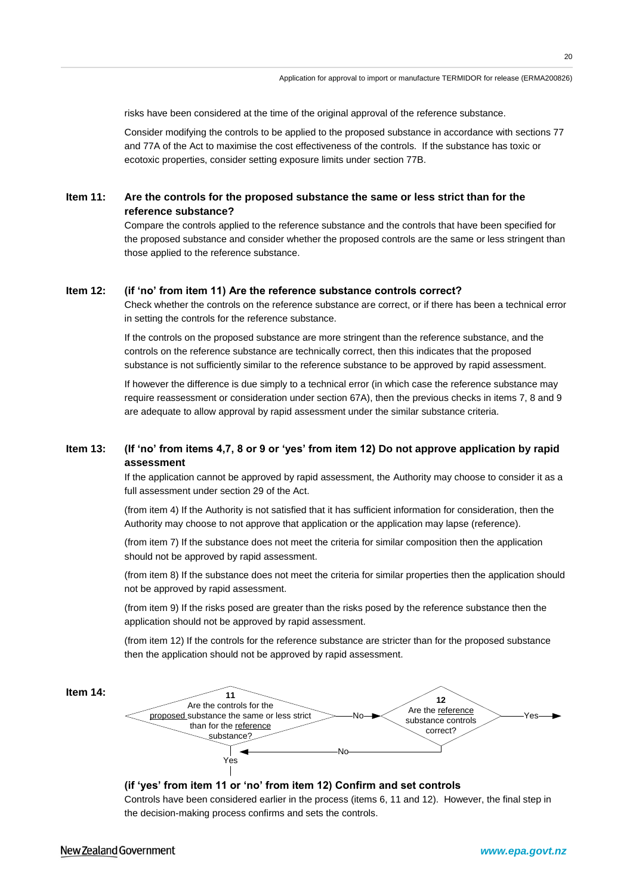risks have been considered at the time of the original approval of the reference substance.

Consider modifying the controls to be applied to the proposed substance in accordance with sections 77 and 77A of the Act to maximise the cost effectiveness of the controls. If the substance has toxic or ecotoxic properties, consider setting exposure limits under section 77B.

#### **Item 11: Are the controls for the proposed substance the same or less strict than for the reference substance?**

Compare the controls applied to the reference substance and the controls that have been specified for the proposed substance and consider whether the proposed controls are the same or less stringent than those applied to the reference substance.

#### **Item 12: (if 'no' from item 11) Are the reference substance controls correct?**

Check whether the controls on the reference substance are correct, or if there has been a technical error in setting the controls for the reference substance.

If the controls on the proposed substance are more stringent than the reference substance, and the controls on the reference substance are technically correct, then this indicates that the proposed substance is not sufficiently similar to the reference substance to be approved by rapid assessment.

If however the difference is due simply to a technical error (in which case the reference substance may require reassessment or consideration under section 67A), then the previous checks in items 7, 8 and 9 are adequate to allow approval by rapid assessment under the similar substance criteria.

#### **Item 13: (If 'no' from items 4,7, 8 or 9 or 'yes' from item 12) Do not approve application by rapid assessment**

If the application cannot be approved by rapid assessment, the Authority may choose to consider it as a full assessment under section 29 of the Act.

(from item 4) If the Authority is not satisfied that it has sufficient information for consideration, then the Authority may choose to not approve that application or the application may lapse (reference).

(from item 7) If the substance does not meet the criteria for similar composition then the application should not be approved by rapid assessment.

(from item 8) If the substance does not meet the criteria for similar properties then the application should not be approved by rapid assessment.

(from item 9) If the risks posed are greater than the risks posed by the reference substance then the application should not be approved by rapid assessment.

(from item 12) If the controls for the reference substance are stricter than for the proposed substance then the application should not be approved by rapid assessment.



#### **(if 'yes' from item 11 or 'no' from item 12) Confirm and set controls**

Controls have been considered earlier in the process (items 6, 11 and 12). However, the final step in the decision-making process confirms and sets the controls.